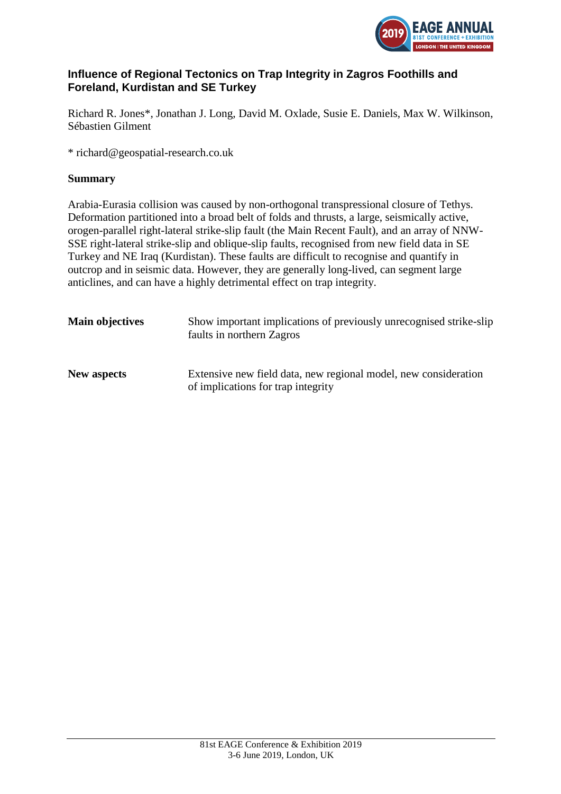

# **Influence of Regional Tectonics on Trap Integrity in Zagros Foothills and Foreland, Kurdistan and SE Turkey**

Richard R. Jones\*, Jonathan J. Long, David M. Oxlade, Susie E. Daniels, Max W. Wilkinson, Sébastien Gilment

\* richard@geospatial-research.co.uk

## **Summary**

Arabia-Eurasia collision was caused by non-orthogonal transpressional closure of Tethys. Deformation partitioned into a broad belt of folds and thrusts, a large, seismically active, orogen-parallel right-lateral strike-slip fault (the Main Recent Fault), and an array of NNW-SSE right-lateral strike-slip and oblique-slip faults, recognised from new field data in SE Turkey and NE Iraq (Kurdistan). These faults are difficult to recognise and quantify in outcrop and in seismic data. However, they are generally long-lived, can segment large anticlines, and can have a highly detrimental effect on trap integrity.

| <b>Main objectives</b> | Show important implications of previously unrecognised strike-slip<br>faults in northern Zagros       |
|------------------------|-------------------------------------------------------------------------------------------------------|
| <b>New aspects</b>     | Extensive new field data, new regional model, new consideration<br>of implications for trap integrity |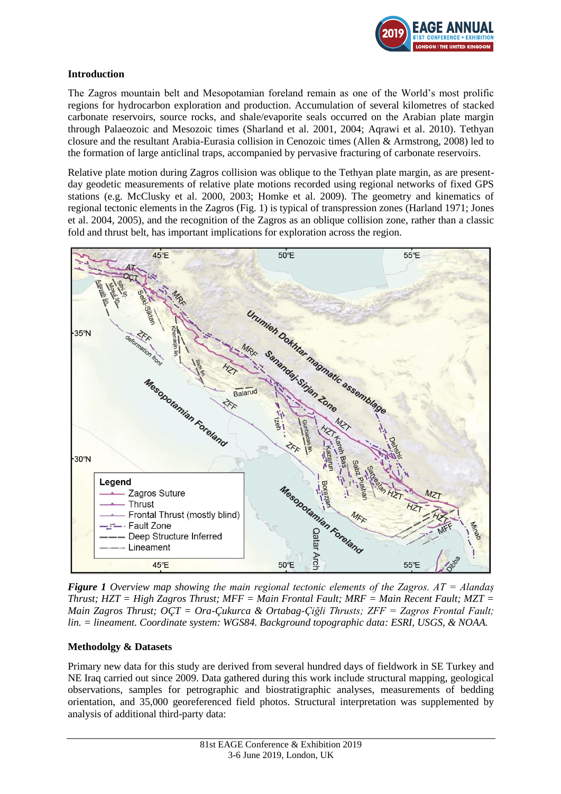

## **Introduction**

The Zagros mountain belt and Mesopotamian foreland remain as one of the World's most prolific regions for hydrocarbon exploration and production. Accumulation of several kilometres of stacked carbonate reservoirs, source rocks, and shale/evaporite seals occurred on the Arabian plate margin through Palaeozoic and Mesozoic times (Sharland et al. 2001, 2004; Aqrawi et al. 2010). Tethyan closure and the resultant Arabia-Eurasia collision in Cenozoic times (Allen & Armstrong, 2008) led to the formation of large anticlinal traps, accompanied by pervasive fracturing of carbonate reservoirs.

Relative plate motion during Zagros collision was oblique to the Tethyan plate margin, as are presentday geodetic measurements of relative plate motions recorded using regional networks of fixed GPS stations (e.g. McClusky et al. 2000, 2003; Homke et al. 2009). The geometry and kinematics of regional tectonic elements in the Zagros (Fig. 1) is typical of transpression zones (Harland 1971; Jones et al. 2004, 2005), and the recognition of the Zagros as an oblique collision zone, rather than a classic fold and thrust belt, has important implications for exploration across the region.



*Figure 1 Overview map showing the main regional tectonic elements of the Zagros. AT = Alandaș Thrust; HZT = High Zagros Thrust; MFF = Main Frontal Fault; MRF = Main Recent Fault; MZT = Main Zagros Thrust; OÇT = Ora-Çukurca & Ortabag-Çiğli Thrusts; ZFF = Zagros Frontal Fault; lin. = lineament. Coordinate system: WGS84. Background topographic data: ESRI, USGS, & NOAA.* 

## **Methodolgy & Datasets**

Primary new data for this study are derived from several hundred days of fieldwork in SE Turkey and NE Iraq carried out since 2009. Data gathered during this work include structural mapping, geological observations, samples for petrographic and biostratigraphic analyses, measurements of bedding orientation, and 35,000 georeferenced field photos. Structural interpretation was supplemented by analysis of additional third-party data: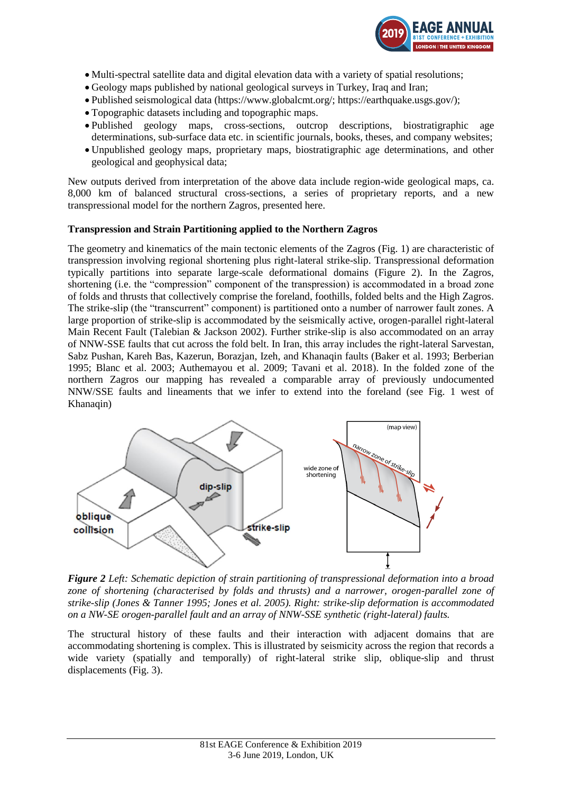

- Multi-spectral satellite data and digital elevation data with a variety of spatial resolutions;
- Geology maps published by national geological surveys in Turkey, Iraq and Iran;
- Published seismological data (https://www.globalcmt.org/; https://earthquake.usgs.gov/);
- Topographic datasets including and topographic maps.
- Published geology maps, cross-sections, outcrop descriptions, biostratigraphic age determinations, sub-surface data etc. in scientific journals, books, theses, and company websites;
- Unpublished geology maps, proprietary maps, biostratigraphic age determinations, and other geological and geophysical data;

New outputs derived from interpretation of the above data include region-wide geological maps, ca. 8,000 km of balanced structural cross-sections, a series of proprietary reports, and a new transpressional model for the northern Zagros, presented here.

#### **Transpression and Strain Partitioning applied to the Northern Zagros**

The geometry and kinematics of the main tectonic elements of the Zagros (Fig. 1) are characteristic of transpression involving regional shortening plus right-lateral strike-slip. Transpressional deformation typically partitions into separate large-scale deformational domains (Figure 2). In the Zagros, shortening (i.e. the "compression" component of the transpression) is accommodated in a broad zone of folds and thrusts that collectively comprise the foreland, foothills, folded belts and the High Zagros. The strike-slip (the "transcurrent" component) is partitioned onto a number of narrower fault zones. A large proportion of strike-slip is accommodated by the seismically active, orogen-parallel right-lateral Main Recent Fault (Talebian & Jackson 2002). Further strike-slip is also accommodated on an array of NNW-SSE faults that cut across the fold belt. In Iran, this array includes the right-lateral Sarvestan, Sabz Pushan, Kareh Bas, Kazerun, Borazjan, Izeh, and Khanaqin faults (Baker et al. 1993; Berberian 1995; Blanc et al. 2003; Authemayou et al. 2009; Tavani et al. 2018). In the folded zone of the northern Zagros our mapping has revealed a comparable array of previously undocumented NNW/SSE faults and lineaments that we infer to extend into the foreland (see Fig. 1 west of Khanaqin)



*Figure 2 Left: Schematic depiction of strain partitioning of transpressional deformation into a broad*  zone of shortening (characterised by folds and thrusts) and a narrower, orogen-parallel zone of *strike-slip (Jones & Tanner 1995; Jones et al. 2005). Right: strike-slip deformation is accommodated on a NW-SE orogen-parallel fault and an array of NNW-SSE synthetic (right-lateral) faults.*

The structural history of these faults and their interaction with adjacent domains that are accommodating shortening is complex. This is illustrated by seismicity across the region that records a wide variety (spatially and temporally) of right-lateral strike slip, oblique-slip and thrust displacements (Fig. 3).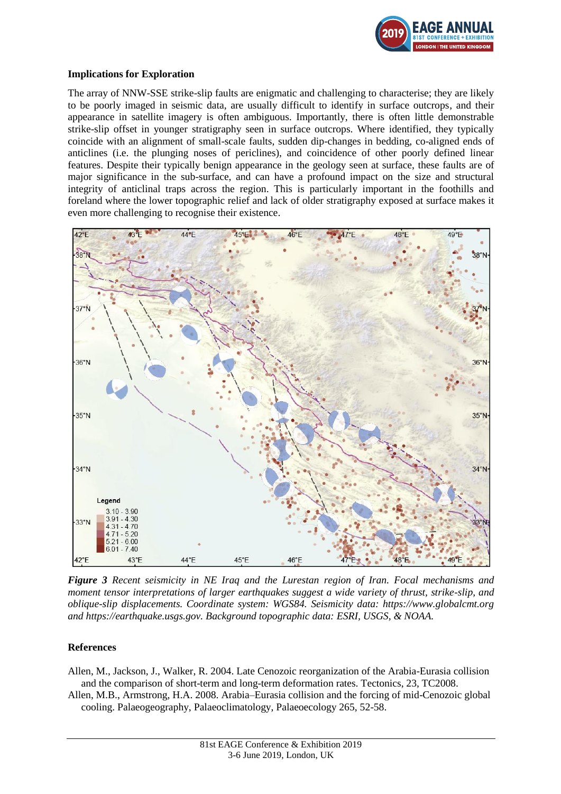

#### **Implications for Exploration**

The array of NNW-SSE strike-slip faults are enigmatic and challenging to characterise; they are likely to be poorly imaged in seismic data, are usually difficult to identify in surface outcrops, and their appearance in satellite imagery is often ambiguous. Importantly, there is often little demonstrable strike-slip offset in younger stratigraphy seen in surface outcrops. Where identified, they typically coincide with an alignment of small-scale faults, sudden dip-changes in bedding, co-aligned ends of anticlines (i.e. the plunging noses of periclines), and coincidence of other poorly defined linear features. Despite their typically benign appearance in the geology seen at surface, these faults are of major significance in the sub-surface, and can have a profound impact on the size and structural integrity of anticlinal traps across the region. This is particularly important in the foothills and foreland where the lower topographic relief and lack of older stratigraphy exposed at surface makes it even more challenging to recognise their existence.



*Figure 3 Recent seismicity in NE Iraq and the Lurestan region of Iran. Focal mechanisms and moment tensor interpretations of larger earthquakes suggest a wide variety of thrust, strike-slip, and oblique-slip displacements. Coordinate system: WGS84. Seismicity data: https://www.globalcmt.org and https://earthquake.usgs.gov. Background topographic data: ESRI, USGS, & NOAA.*

## **References**

Allen, M., Jackson, J., Walker, R. 2004. Late Cenozoic reorganization of the Arabia-Eurasia collision and the comparison of short-term and long-term deformation rates. Tectonics, 23, TC2008.

Allen, M.B., Armstrong, H.A. 2008. Arabia–Eurasia collision and the forcing of mid-Cenozoic global cooling. Palaeogeography, Palaeoclimatology, Palaeoecology 265, 52-58.